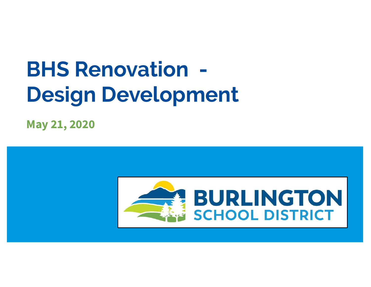# BHS Renovation - Design Development

May 21, 2020

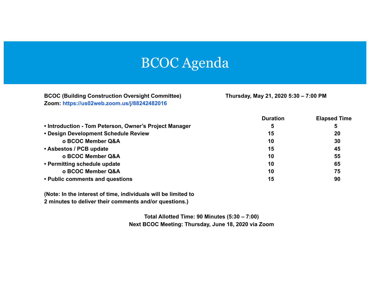#### BCOC Agenda

BCOC (Building Construction Oversight Committee) Thursday, May 21, 2020 5:30 – 7:00 PM Zoom: https://us02web.zoom.us/j/88242482016

|                                                        | <b>Duration</b> | <b>Elapsed Time</b> |
|--------------------------------------------------------|-----------------|---------------------|
| • Introduction - Tom Peterson, Owner's Project Manager | 5               | 5                   |
| • Design Development Schedule Review                   | 15              | 20                  |
| o BCOC Member Q&A                                      | 10              | 30                  |
| • Asbestos / PCB update                                | 15              | 45                  |
| o BCOC Member Q&A                                      | 10              | 55                  |
| • Permitting schedule update                           | 10              | 65                  |
| o BCOC Member Q&A                                      | 10              | 75                  |
| • Public comments and questions                        | 15              | 90                  |

(Note: In the interest of time, individuals will be limited to

2 minutes to deliver their comments and/or questions.)

Total Allotted Time: 90 Minutes (5:30 – 7:00) Next BCOC Meeting: Thursday, June 18, 2020 via Zoom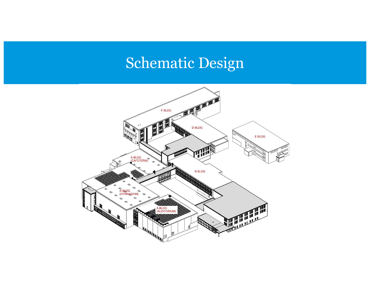### Schematic Design

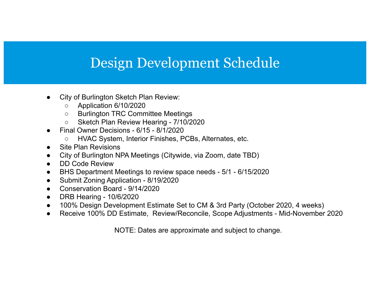#### Design Development Schedule

- ● City of Burlington Sketch Plan Review:
	- ○Application 6/10/2020
	- Burlington TRC Committee Meetings
	- $\circ$ Sketch Plan Review Hearing - 7/10/2020
- ● Final Owner Decisions - 6/15 - 8/1/2020
	- ○HVAC System, Interior Finishes, PCBs, Alternates, etc.
- ●Site Plan Revisions
- ●City of Burlington NPA Meetings (Citywide, via Zoom, date TBD)
- ●DD Code Review
- ●BHS Department Meetings to review space needs - 5/1 - 6/15/2020
- ●Submit Zoning Application - 8/19/2020
- ●Conservation Board - 9/14/2020
- $\bullet$ DRB Hearing - 10/6/2020
- ●100% Design Development Estimate Set to CM & 3rd Party (October 2020, 4 weeks)
- ●Receive 100% DD Estimate, Review/Reconcile, Scope Adjustments - Mid-November 2020

NOTE: Dates are approximate and subject to change.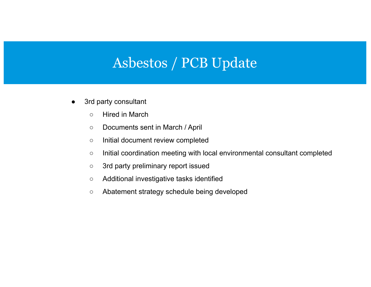#### Asbestos / PCB Update

- ● 3rd party consultant
	- $\circ$ Hired in March
	- $\circ$ Documents sent in March / April
	- $\circ$ Initial document review completed
	- $\circ$ Initial coordination meeting with local environmental consultant completed
	- $\circ$ 3rd party preliminary report issued
	- $\circ$ Additional investigative tasks identified
	- $\bigcirc$ Abatement strategy schedule being developed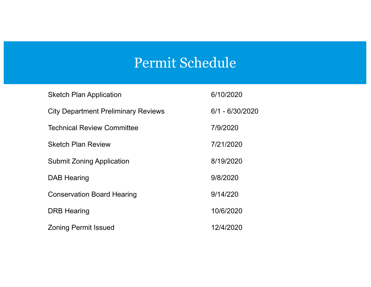#### Permit Schedule

| <b>Sketch Plan Application</b>             | 6/10/2020         |
|--------------------------------------------|-------------------|
| <b>City Department Preliminary Reviews</b> | $6/1 - 6/30/2020$ |
| <b>Technical Review Committee</b>          | 7/9/2020          |
| <b>Sketch Plan Review</b>                  | 7/21/2020         |
| <b>Submit Zoning Application</b>           | 8/19/2020         |
| <b>DAB Hearing</b>                         | 9/8/2020          |
| <b>Conservation Board Hearing</b>          | 9/14/220          |
| <b>DRB Hearing</b>                         | 10/6/2020         |
| <b>Zoning Permit Issued</b>                | 12/4/2020         |